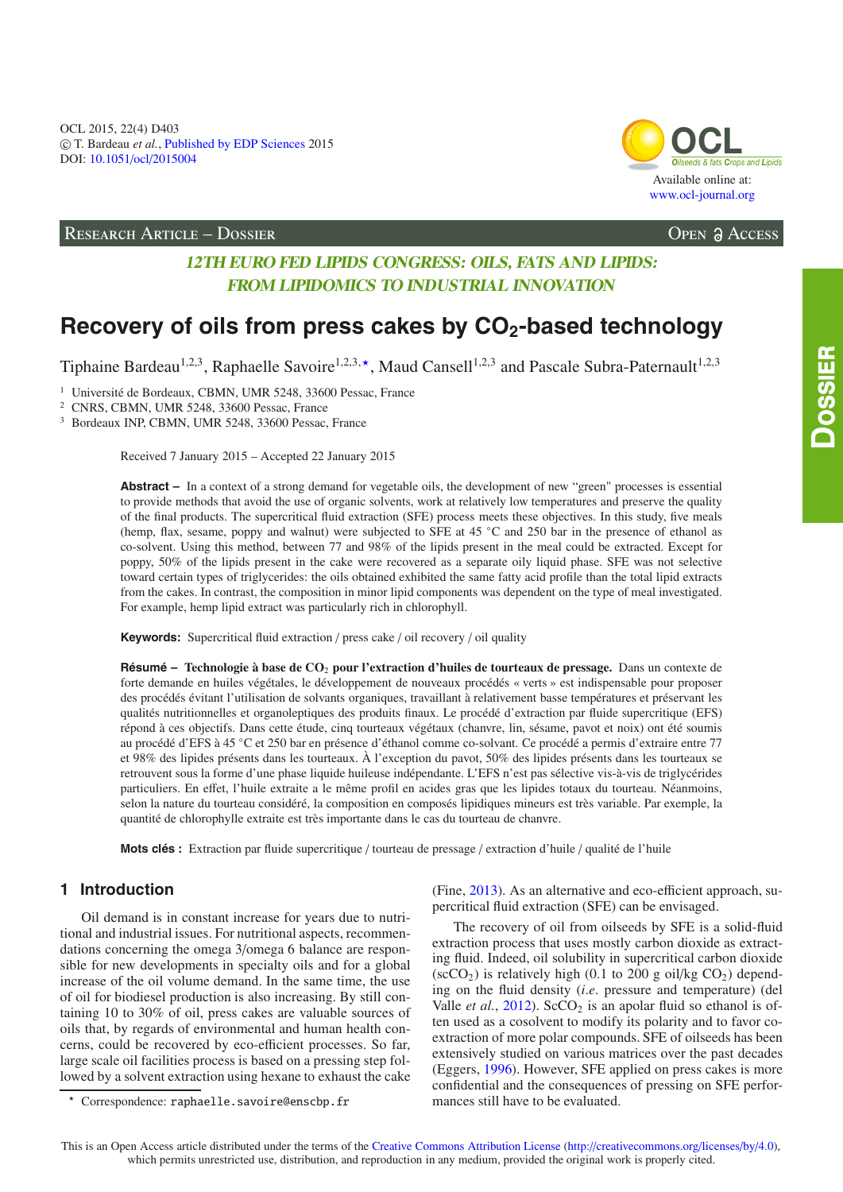

RESEARCH ARTICLE – DOSSIER **Open Access** 

# **12TH EURO FED LIPIDS CONGRESS: OILS, FATS AND LIPIDS: FROM LIPIDOMICS TO INDUSTRIAL INNOVATION**

# Recovery of oils from press cakes by CO<sub>2</sub>-based technology

Tiphaine Bardeau<sup>1,2,3</sup>, Raphaelle Savoire<sup>1,2,3,\*</sup>, Maud Cansell<sup>1,2,3</sup> and Pascale Subra-Paternault<sup>1,2,3</sup>

<sup>1</sup> Université de Bordeaux, CBMN, UMR 5248, 33600 Pessac, France

<sup>2</sup> CNRS, CBMN, UMR 5248, 33600 Pessac, France

<sup>3</sup> Bordeaux INP, CBMN, UMR 5248, 33600 Pessac, France

Received 7 January 2015 – Accepted 22 January 2015

**Abstract –** In a context of a strong demand for vegetable oils, the development of new "green" processes is essential to provide methods that avoid the use of organic solvents, work at relatively low temperatures and preserve the quality of the final products. The supercritical fluid extraction (SFE) process meets these objectives. In this study, five meals (hemp, flax, sesame, poppy and walnut) were subjected to SFE at 45 ◦C and 250 bar in the presence of ethanol as co-solvent. Using this method, between 77 and 98% of the lipids present in the meal could be extracted. Except for poppy, 50% of the lipids present in the cake were recovered as a separate oily liquid phase. SFE was not selective toward certain types of triglycerides: the oils obtained exhibited the same fatty acid profile than the total lipid extracts from the cakes. In contrast, the composition in minor lipid components was dependent on the type of meal investigated. For example, hemp lipid extract was particularly rich in chlorophyll.

**Keywords:** Supercritical fluid extraction / press cake / oil recovery / oil quality

**Résumé – Technologie à base de CO**<sup>2</sup> **pour l'extraction d'huiles de tourteaux de pressage.** Dans un contexte de forte demande en huiles végétales, le développement de nouveaux procédés « verts » est indispensable pour proposer des procédés évitant l'utilisation de solvants organiques, travaillant à relativement basse températures et préservant les qualités nutritionnelles et organoleptiques des produits finaux. Le procédé d'extraction par fluide supercritique (EFS) répond à ces objectifs. Dans cette étude, cinq tourteaux végétaux (chanvre, lin, sésame, pavot et noix) ont été soumis au procédé d'EFS à 45 ◦C et 250 bar en présence d'éthanol comme co-solvant. Ce procédé a permis d'extraire entre 77 et 98% des lipides présents dans les tourteaux. À l'exception du pavot, 50% des lipides présents dans les tourteaux se retrouvent sous la forme d'une phase liquide huileuse indépendante. L'EFS n'est pas sélective vis-à-vis de triglycérides particuliers. En effet, l'huile extraite a le même profil en acides gras que les lipides totaux du tourteau. Néanmoins, selon la nature du tourteau considéré, la composition en composés lipidiques mineurs est très variable. Par exemple, la quantité de chlorophylle extraite est très importante dans le cas du tourteau de chanvre.

**Mots clés :** Extraction par fluide supercritique / tourteau de pressage / extraction d'huile / qualité de l'huile

# **1 Introduction**

Oil demand is in constant increase for years due to nutritional and industrial issues. For nutritional aspects, recommendations concerning the omega 3/omega 6 balance are responsible for new developments in specialty oils and for a global increase of the oil volume demand. In the same time, the use of oil for biodiesel production is also increasing. By still containing 10 to 30% of oil, press cakes are valuable sources of oils that, by regards of environmental and human health concerns, could be recovered by eco-efficient processes. So far, large scale oil facilities process is based on a pressing step followed by a solvent extraction using hexane to exhaust the cake (Fine, [2013\)](#page-5-0). As an alternative and eco-efficient approach, supercritical fluid extraction (SFE) can be envisaged.

The recovery of oil from oilseeds by SFE is a solid-fluid extraction process that uses mostly carbon dioxide as extracting fluid. Indeed, oil solubility in supercritical carbon dioxide  $(\text{scCO}_2)$  is relatively high (0.1 to 200 g oil/kg CO<sub>2</sub>) depending on the fluid density (*i*.*e*. pressure and temperature) (del Valle *et al.*,  $2012$ ). ScCO<sub>2</sub> is an apolar fluid so ethanol is often used as a cosolvent to modify its polarity and to favor coextraction of more polar compounds. SFE of oilseeds has been extensively studied on various matrices over the past decades (Eggers, [1996\)](#page-5-2). However, SFE applied on press cakes is more confidential and the consequences of pressing on SFE performances still have to be evaluated.

<sup>-</sup> Correspondence: raphaelle.savoire@enscbp.fr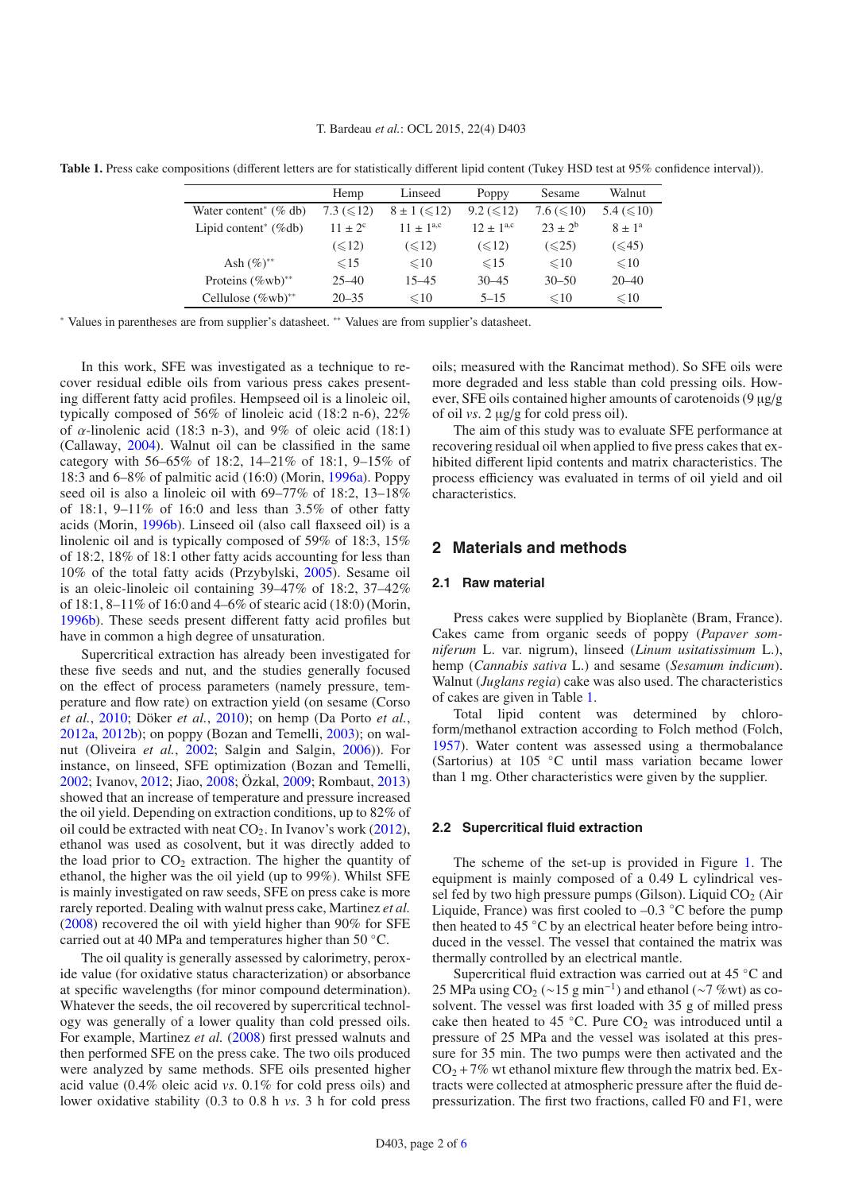T. Bardeau *et al.*: OCL 2015, 22(4) D403

<span id="page-1-0"></span>**Table 1.** Press cake compositions (different letters are for statistically different lipid content (Tukey HSD test at 95% confidence interval)).

|                                      | Hemp            | Linseed            | Poppy          | Sesame            | Walnut          |
|--------------------------------------|-----------------|--------------------|----------------|-------------------|-----------------|
| Water content <sup>*</sup> $(\%$ db) | 7.3 $(\leq 12)$ | $8 \pm 1 (\le 12)$ | $9.2 \leq 12$  | 7.6 ( $\leq 10$ ) | 5.4 $(\leq 10)$ |
| Lipid content <sup>*</sup> $(\%$ db) | $11 + 2^c$      | $11 + 1^{a,c}$     | $12 + 1^{a,c}$ | $23 + 2^b$        | $8 + 1^a$       |
|                                      | $(\leq 12)$     | $(\leq 12)$        | $(\leq 12)$    | $(\leq 25)$       | (< 45)          |
| Ash $(\%)^{**}$                      | $\leq 15$       | $\leq 10$          | $\leq 15$      | $\leq 10$         | $\leq 10$       |
| Proteins $(\%$ wb) <sup>**</sup>     | $25 - 40$       | $15 - 45$          | $30 - 45$      | $30 - 50$         | $20 - 40$       |
| Cellulose $(\%$ wb $)$ <sup>**</sup> | $20 - 35$       | $\leq 10$          | $5 - 15$       | $\leq 10$         | $\leq 10$       |

<sup>∗</sup> Values in parentheses are from supplier's datasheet. ∗∗ Values are from supplier's datasheet.

In this work, SFE was investigated as a technique to recover residual edible oils from various press cakes presenting different fatty acid profiles. Hempseed oil is a linoleic oil, typically composed of 56% of linoleic acid (18:2 n-6), 22% of  $\alpha$ -linolenic acid (18:3 n-3), and 9% of oleic acid (18:1) (Callaway, [2004\)](#page-5-3). Walnut oil can be classified in the same category with 56–65% of 18:2, 14–21% of 18:1, 9–15% of 18:3 and 6–8% of palmitic acid (16:0) (Morin, [1996a](#page-5-4)). Poppy seed oil is also a linoleic oil with 69–77% of 18:2, 13–18% of 18:1,  $9-11\%$  of 16:0 and less than 3.5% of other fatty acids (Morin, [1996b](#page-5-5)). Linseed oil (also call flaxseed oil) is a linolenic oil and is typically composed of 59% of 18:3, 15% of 18:2, 18% of 18:1 other fatty acids accounting for less than 10% of the total fatty acids (Przybylski, [2005\)](#page-5-6). Sesame oil is an oleic-linoleic oil containing 39–47% of 18:2, 37–42% of 18:1, 8–11% of 16:0 and 4–6% of stearic acid (18:0) (Morin, [1996b\)](#page-5-5). These seeds present different fatty acid profiles but have in common a high degree of unsaturation.

Supercritical extraction has already been investigated for these five seeds and nut, and the studies generally focused on the effect of process parameters (namely pressure, temperature and flow rate) on extraction yield (on sesame (Corso *et al.*, [2010](#page-5-7); Döker *et al.*, [2010\)](#page-5-8); on hemp (Da Porto *et al.*, [2012a,](#page-5-9) [2012b](#page-5-10)); on poppy (Bozan and Temelli, [2003\)](#page-5-11); on walnut (Oliveira *et al.*, [2002](#page-5-12); Salgin and Salgin, [2006\)](#page-5-13)). For instance, on linseed, SFE optimization (Bozan and Temelli, [2002;](#page-5-14) Ivanov, [2012;](#page-5-15) Jiao, [2008;](#page-5-16) Özkal, [2009;](#page-5-17) Rombaut, [2013\)](#page-5-18) showed that an increase of temperature and pressure increased the oil yield. Depending on extraction conditions, up to 82% of oil could be extracted with neat  $CO<sub>2</sub>$ . In Ivanov's work [\(2012](#page-5-15)), ethanol was used as cosolvent, but it was directly added to the load prior to  $CO<sub>2</sub>$  extraction. The higher the quantity of ethanol, the higher was the oil yield (up to 99%). Whilst SFE is mainly investigated on raw seeds, SFE on press cake is more rarely reported. Dealing with walnut press cake, Martinez *et al.* [\(2008\)](#page-5-19) recovered the oil with yield higher than 90% for SFE carried out at 40 MPa and temperatures higher than 50 ◦C.

The oil quality is generally assessed by calorimetry, peroxide value (for oxidative status characterization) or absorbance at specific wavelengths (for minor compound determination). Whatever the seeds, the oil recovered by supercritical technology was generally of a lower quality than cold pressed oils. For example, Martinez *et al.* [\(2008\)](#page-5-19) first pressed walnuts and then performed SFE on the press cake. The two oils produced were analyzed by same methods. SFE oils presented higher acid value (0.4% oleic acid *vs*. 0.1% for cold press oils) and lower oxidative stability (0.3 to 0.8 h *vs*. 3 h for cold press

oils; measured with the Rancimat method). So SFE oils were more degraded and less stable than cold pressing oils. However, SFE oils contained higher amounts of carotenoids (9 μg/g of oil *vs*. 2 μg/g for cold press oil).

The aim of this study was to evaluate SFE performance at recovering residual oil when applied to five press cakes that exhibited different lipid contents and matrix characteristics. The process efficiency was evaluated in terms of oil yield and oil characteristics.

# **2 Materials and methods**

#### **2.1 Raw material**

Press cakes were supplied by Bioplanète (Bram, France). Cakes came from organic seeds of poppy (*Papaver somniferum* L. var. nigrum), linseed (*Linum usitatissimum* L.), hemp (*Cannabis sativa* L.) and sesame (*Sesamum indicum*). Walnut (*Juglans regia*) cake was also used. The characteristics of cakes are given in Table [1.](#page-1-0)

Total lipid content was determined by chloroform/methanol extraction according to Folch method (Folch, [1957\)](#page-5-20). Water content was assessed using a thermobalance (Sartorius) at 105 ◦C until mass variation became lower than 1 mg. Other characteristics were given by the supplier.

## **2.2 Supercritical fluid extraction**

The scheme of the set-up is provided in Figure [1.](#page-2-0) The equipment is mainly composed of a 0.49 L cylindrical vessel fed by two high pressure pumps (Gilson). Liquid  $CO<sub>2</sub>$  (Air Liquide, France) was first cooled to  $-0.3 \degree$ C before the pump then heated to 45 ◦C by an electrical heater before being introduced in the vessel. The vessel that contained the matrix was thermally controlled by an electrical mantle.

Supercritical fluid extraction was carried out at 45 ◦C and 25 MPa using CO<sub>2</sub> (∼15 g min<sup>-1</sup>) and ethanol (∼7 %wt) as cosolvent. The vessel was first loaded with 35 g of milled press cake then heated to 45  $°C$ . Pure  $CO<sub>2</sub>$  was introduced until a pressure of 25 MPa and the vessel was isolated at this pressure for 35 min. The two pumps were then activated and the  $CO<sub>2</sub> +7%$  wt ethanol mixture flew through the matrix bed. Extracts were collected at atmospheric pressure after the fluid depressurization. The first two fractions, called F0 and F1, were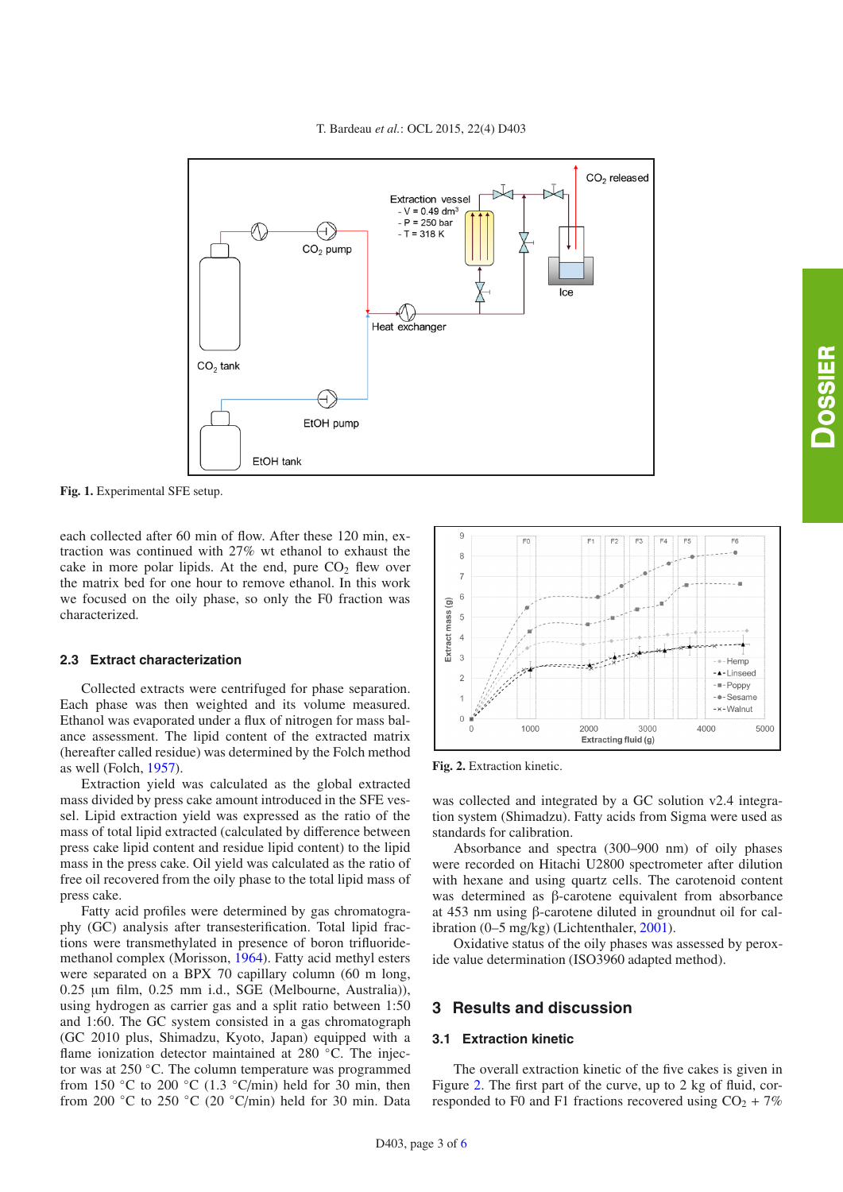

<span id="page-2-0"></span>**Fig. 1.** Experimental SFE setup.

each collected after 60 min of flow. After these 120 min, extraction was continued with 27% wt ethanol to exhaust the cake in more polar lipids. At the end, pure  $CO<sub>2</sub>$  flew over the matrix bed for one hour to remove ethanol. In this work we focused on the oily phase, so only the F0 fraction was characterized.

### **2.3 Extract characterization**

Collected extracts were centrifuged for phase separation. Each phase was then weighted and its volume measured. Ethanol was evaporated under a flux of nitrogen for mass balance assessment. The lipid content of the extracted matrix (hereafter called residue) was determined by the Folch method as well (Folch, [1957\)](#page-5-20).

Extraction yield was calculated as the global extracted mass divided by press cake amount introduced in the SFE vessel. Lipid extraction yield was expressed as the ratio of the mass of total lipid extracted (calculated by difference between press cake lipid content and residue lipid content) to the lipid mass in the press cake. Oil yield was calculated as the ratio of free oil recovered from the oily phase to the total lipid mass of press cake.

Fatty acid profiles were determined by gas chromatography (GC) analysis after transesterification. Total lipid fractions were transmethylated in presence of boron trifluoridemethanol complex (Morisson, [1964\)](#page-5-22). Fatty acid methyl esters were separated on a BPX 70 capillary column (60 m long, 0.25 μm film, 0.25 mm i.d., SGE (Melbourne, Australia)), using hydrogen as carrier gas and a split ratio between 1:50 and 1:60. The GC system consisted in a gas chromatograph (GC 2010 plus, Shimadzu, Kyoto, Japan) equipped with a flame ionization detector maintained at 280 °C. The injector was at 250 ◦C. The column temperature was programmed from 150 °C to 200 °C (1.3 °C/min) held for 30 min, then from 200 ◦C to 250 ◦C (20 ◦C/min) held for 30 min. Data

<span id="page-2-1"></span>

**Fig. 2.** Extraction kinetic.

was collected and integrated by a GC solution v2.4 integration system (Shimadzu). Fatty acids from Sigma were used as standards for calibration.

Absorbance and spectra (300–900 nm) of oily phases were recorded on Hitachi U2800 spectrometer after dilution with hexane and using quartz cells. The carotenoid content was determined as β-carotene equivalent from absorbance at 453 nm using β-carotene diluted in groundnut oil for calibration (0–5 mg/kg) (Lichtenthaler, [2001\)](#page-5-23).

Oxidative status of the oily phases was assessed by peroxide value determination (ISO3960 adapted method).

# **3 Results and discussion**

#### **3.1 Extraction kinetic**

The overall extraction kinetic of the five cakes is given in Figure [2.](#page-2-1) The first part of the curve, up to 2 kg of fluid, corresponded to F0 and F1 fractions recovered using  $CO<sub>2</sub> + 7%$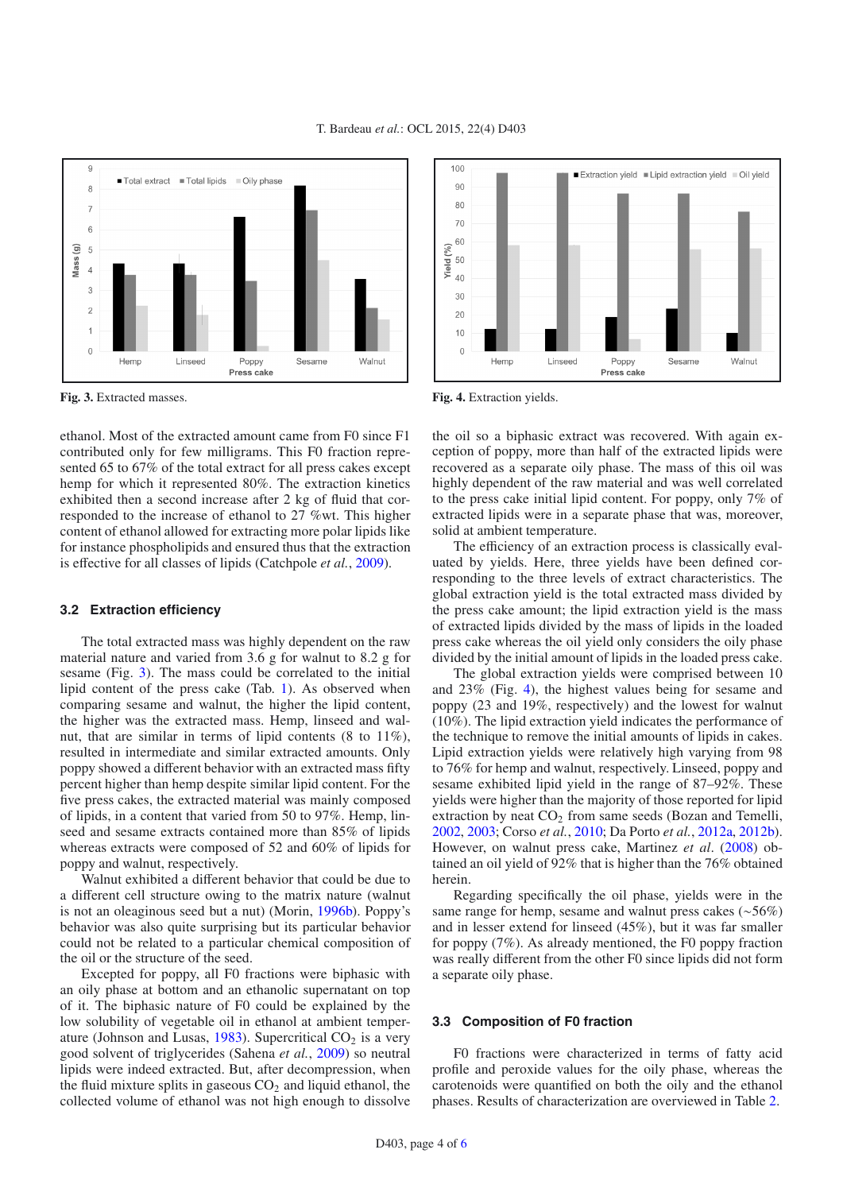<span id="page-3-0"></span>

**Fig. 3.** Extracted masses.

ethanol. Most of the extracted amount came from F0 since F1 contributed only for few milligrams. This F0 fraction represented 65 to 67% of the total extract for all press cakes except hemp for which it represented 80%. The extraction kinetics exhibited then a second increase after 2 kg of fluid that corresponded to the increase of ethanol to 27 %wt. This higher content of ethanol allowed for extracting more polar lipids like for instance phospholipids and ensured thus that the extraction is effective for all classes of lipids (Catchpole *et al.*, [2009](#page-5-24)).

### **3.2 Extraction efficiency**

The total extracted mass was highly dependent on the raw material nature and varied from 3.6 g for walnut to 8.2 g for sesame (Fig. [3\)](#page-3-0). The mass could be correlated to the initial lipid content of the press cake (Tab. [1\)](#page-1-0). As observed when comparing sesame and walnut, the higher the lipid content, the higher was the extracted mass. Hemp, linseed and walnut, that are similar in terms of lipid contents (8 to 11%), resulted in intermediate and similar extracted amounts. Only poppy showed a different behavior with an extracted mass fifty percent higher than hemp despite similar lipid content. For the five press cakes, the extracted material was mainly composed of lipids, in a content that varied from 50 to 97%. Hemp, linseed and sesame extracts contained more than 85% of lipids whereas extracts were composed of 52 and 60% of lipids for poppy and walnut, respectively.

Walnut exhibited a different behavior that could be due to a different cell structure owing to the matrix nature (walnut is not an oleaginous seed but a nut) (Morin, [1996b\)](#page-5-5). Poppy's behavior was also quite surprising but its particular behavior could not be related to a particular chemical composition of the oil or the structure of the seed.

Excepted for poppy, all F0 fractions were biphasic with an oily phase at bottom and an ethanolic supernatant on top of it. The biphasic nature of F0 could be explained by the low solubility of vegetable oil in ethanol at ambient temper-ature (Johnson and Lusas, [1983](#page-5-25)). Supercritical  $CO<sub>2</sub>$  is a very good solvent of triglycerides (Sahena *et al.*, [2009\)](#page-5-26) so neutral lipids were indeed extracted. But, after decompression, when the fluid mixture splits in gaseous  $CO<sub>2</sub>$  and liquid ethanol, the collected volume of ethanol was not high enough to dissolve

<span id="page-3-1"></span>

**Fig. 4.** Extraction yields.

the oil so a biphasic extract was recovered. With again exception of poppy, more than half of the extracted lipids were recovered as a separate oily phase. The mass of this oil was highly dependent of the raw material and was well correlated to the press cake initial lipid content. For poppy, only 7% of extracted lipids were in a separate phase that was, moreover, solid at ambient temperature.

The efficiency of an extraction process is classically evaluated by yields. Here, three yields have been defined corresponding to the three levels of extract characteristics. The global extraction yield is the total extracted mass divided by the press cake amount; the lipid extraction yield is the mass of extracted lipids divided by the mass of lipids in the loaded press cake whereas the oil yield only considers the oily phase divided by the initial amount of lipids in the loaded press cake.

The global extraction yields were comprised between 10 and 23% (Fig. [4\)](#page-3-1), the highest values being for sesame and poppy (23 and 19%, respectively) and the lowest for walnut (10%). The lipid extraction yield indicates the performance of the technique to remove the initial amounts of lipids in cakes. Lipid extraction yields were relatively high varying from 98 to 76% for hemp and walnut, respectively. Linseed, poppy and sesame exhibited lipid yield in the range of 87–92%. These yields were higher than the majority of those reported for lipid extraction by neat  $CO<sub>2</sub>$  from same seeds (Bozan and Temelli, [2002,](#page-5-14) [2003](#page-5-11); Corso *et al.*, [2010;](#page-5-7) Da Porto *et al.*, [2012a,](#page-5-9) [2012b\)](#page-5-10). However, on walnut press cake, Martinez *et al*. [\(2008\)](#page-5-19) obtained an oil yield of 92% that is higher than the 76% obtained herein.

Regarding specifically the oil phase, yields were in the same range for hemp, sesame and walnut press cakes (∼56%) and in lesser extend for linseed (45%), but it was far smaller for poppy (7%). As already mentioned, the F0 poppy fraction was really different from the other F0 since lipids did not form a separate oily phase.

#### **3.3 Composition of F0 fraction**

F0 fractions were characterized in terms of fatty acid profile and peroxide values for the oily phase, whereas the carotenoids were quantified on both the oily and the ethanol phases. Results of characterization are overviewed in Table [2.](#page-4-0)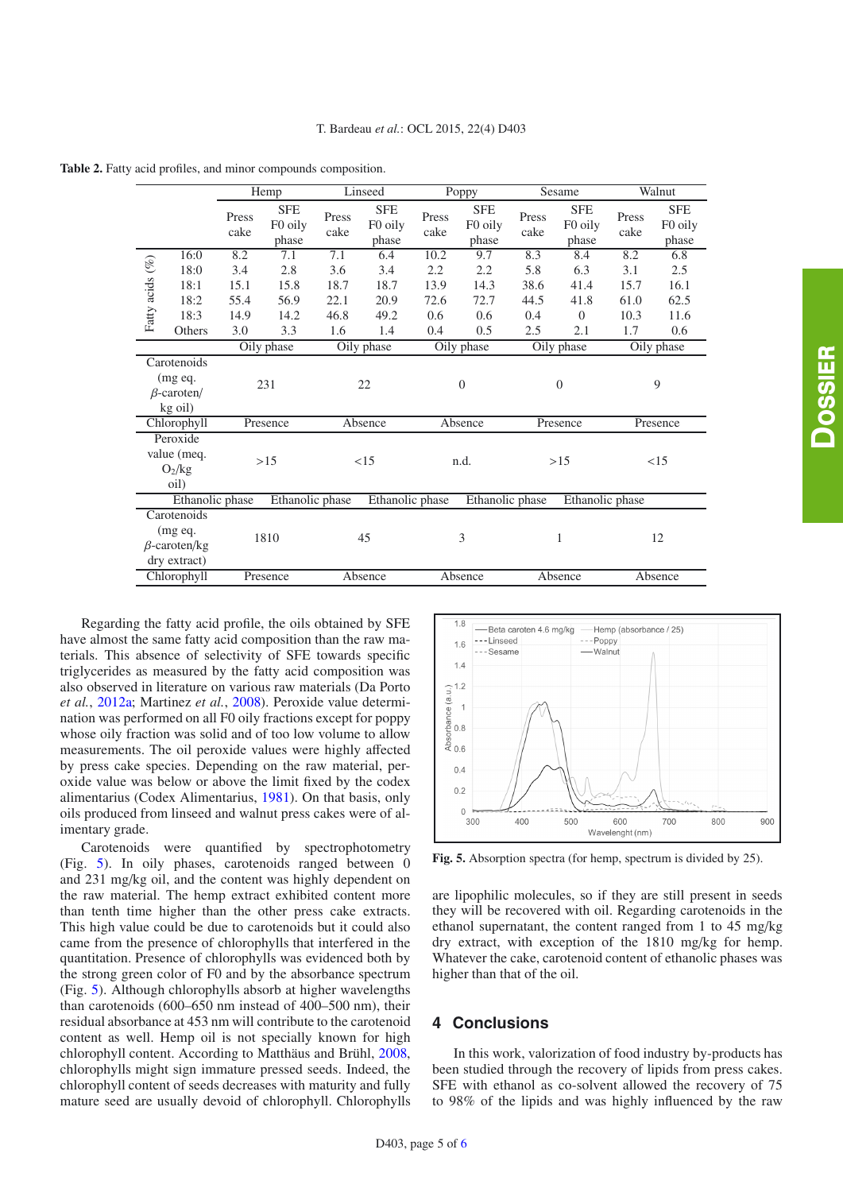<span id="page-4-0"></span>**Table 2.** Fatty acid profiles, and minor compounds composition.

|                                                                                             |             | Hemp          |                                | Linseed       |                                | Poppy            |                                            | Sesame        |                                | Walnut        |                                |  |
|---------------------------------------------------------------------------------------------|-------------|---------------|--------------------------------|---------------|--------------------------------|------------------|--------------------------------------------|---------------|--------------------------------|---------------|--------------------------------|--|
|                                                                                             |             | Press<br>cake | <b>SFE</b><br>F0 oily<br>phase | Press<br>cake | <b>SFE</b><br>F0 oily<br>phase | Press<br>cake    | <b>SFE</b><br>F <sub>0</sub> oily<br>phase | Press<br>cake | <b>SFE</b><br>F0 oily<br>phase | Press<br>cake | <b>SFE</b><br>F0 oily<br>phase |  |
| Fatty acids (%)                                                                             | 16:0        | 8.2           | 7.1                            | 7.1           | 6.4                            | 10.2             | 9.7                                        | 8.3           | 8.4                            | 8.2           | 6.8                            |  |
|                                                                                             | 18:0        | 3.4           | 2.8                            | 3.6           | 3.4                            | 2.2              | 2.2                                        | 5.8           | 6.3                            | 3.1           | 2.5                            |  |
|                                                                                             | 18:1        | 15.1          | 15.8                           | 18.7          | 18.7                           | 13.9             | 14.3                                       | 38.6          | 41.4                           | 15.7          | 16.1                           |  |
|                                                                                             | 18:2        | 55.4          | 56.9                           | 22.1          | 20.9                           | 72.6             | 72.7                                       | 44.5          | 41.8                           | 61.0          | 62.5                           |  |
|                                                                                             | 18:3        | 14.9          | 14.2                           | 46.8          | 49.2                           | 0.6              | 0.6                                        | 0.4           | $\overline{0}$                 | 10.3          | 11.6                           |  |
|                                                                                             | Others      | 3.0           | 3.3                            | 1.6           | 1.4                            | 0.4              | 0.5                                        | 2.5           | 2.1                            | 1.7           | 0.6                            |  |
| Oily phase                                                                                  |             |               | Oily phase                     |               | Oily phase                     |                  | Oily phase                                 |               | Oily phase                     |               |                                |  |
|                                                                                             | Carotenoids |               |                                |               |                                |                  |                                            |               |                                |               |                                |  |
| $(mg \, eq.$<br>$\beta$ -caroten/<br>kg oil)                                                |             | 231           |                                | 22            |                                | $\boldsymbol{0}$ |                                            | $\theta$      |                                | 9             |                                |  |
| Chlorophyll                                                                                 |             | Presence      |                                | Absence       |                                | Absence          |                                            | Presence      |                                | Presence      |                                |  |
| Peroxide<br>value (meq.<br>$O_2/kg$<br>oil)                                                 |             | >15           |                                | <15           |                                | n.d.             |                                            | >15           |                                | <15           |                                |  |
| Ethanolic phase<br>Ethanolic phase<br>Ethanolic phase<br>Ethanolic phase<br>Ethanolic phase |             |               |                                |               |                                |                  |                                            |               |                                |               |                                |  |
| Carotenoids<br>$(mg \, eq.$<br>$\beta$ -caroten/kg<br>dry extract)                          |             | 1810          |                                |               | 45                             |                  | 3                                          |               | $\mathbf{1}$                   |               | 12                             |  |
| Chlorophyll                                                                                 |             |               | Presence                       | Absence       |                                | Absence          |                                            | Absence       |                                | Absence       |                                |  |

Regarding the fatty acid profile, the oils obtained by SFE have almost the same fatty acid composition than the raw materials. This absence of selectivity of SFE towards specific triglycerides as measured by the fatty acid composition was also observed in literature on various raw materials (Da Porto *et al.*, [2012a](#page-5-9); Martinez *et al.*, [2008](#page-5-19)). Peroxide value determination was performed on all F0 oily fractions except for poppy whose oily fraction was solid and of too low volume to allow measurements. The oil peroxide values were highly affected by press cake species. Depending on the raw material, peroxide value was below or above the limit fixed by the codex alimentarius (Codex Alimentarius, [1981\)](#page-5-27). On that basis, only oils produced from linseed and walnut press cakes were of alimentary grade.

Carotenoids were quantified by spectrophotometry (Fig. [5\)](#page-4-1). In oily phases, carotenoids ranged between 0 and 231 mg/kg oil, and the content was highly dependent on the raw material. The hemp extract exhibited content more than tenth time higher than the other press cake extracts. This high value could be due to carotenoids but it could also came from the presence of chlorophylls that interfered in the quantitation. Presence of chlorophylls was evidenced both by the strong green color of F0 and by the absorbance spectrum (Fig. [5\)](#page-4-1). Although chlorophylls absorb at higher wavelengths than carotenoids (600–650 nm instead of 400–500 nm), their residual absorbance at 453 nm will contribute to the carotenoid content as well. Hemp oil is not specially known for high chlorophyll content. According to Matthäus and Brühl, [2008,](#page-5-28) chlorophylls might sign immature pressed seeds. Indeed, the chlorophyll content of seeds decreases with maturity and fully mature seed are usually devoid of chlorophyll. Chlorophylls

<span id="page-4-1"></span>

**Fig. 5.** Absorption spectra (for hemp, spectrum is divided by 25).

are lipophilic molecules, so if they are still present in seeds they will be recovered with oil. Regarding carotenoids in the ethanol supernatant, the content ranged from 1 to 45 mg/kg dry extract, with exception of the 1810 mg/kg for hemp. Whatever the cake, carotenoid content of ethanolic phases was higher than that of the oil.

# **4 Conclusions**

In this work, valorization of food industry by-products has been studied through the recovery of lipids from press cakes. SFE with ethanol as co-solvent allowed the recovery of 75 to 98% of the lipids and was highly influenced by the raw